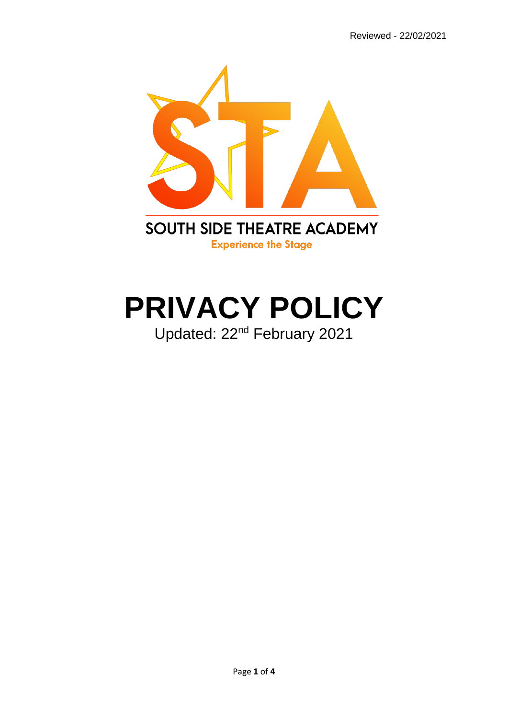

# **PRIVACY POLICY** Updated: 22nd February 2021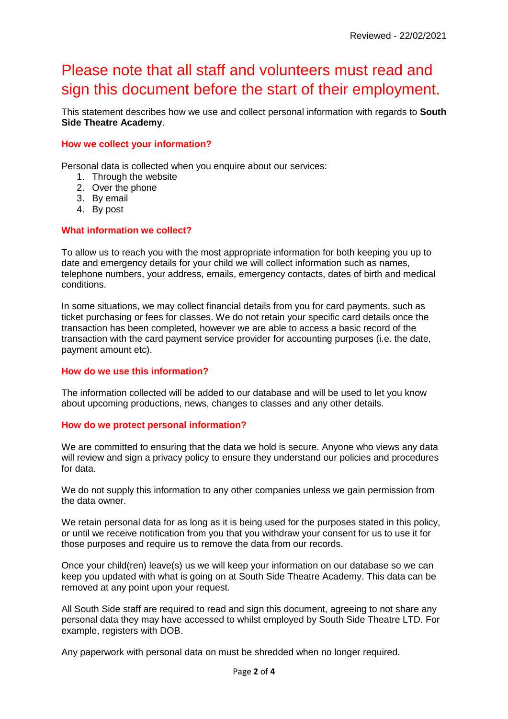# Please note that all staff and volunteers must read and sign this document before the start of their employment.

This statement describes how we use and collect personal information with regards to **South Side Theatre Academy**.

# **How we collect your information?**

Personal data is collected when you enquire about our services:

- 1. Through the website
- 2. Over the phone
- 3. By email
- 4. By post

# **What information we collect?**

To allow us to reach you with the most appropriate information for both keeping you up to date and emergency details for your child we will collect information such as names, telephone numbers, your address, emails, emergency contacts, dates of birth and medical conditions.

In some situations, we may collect financial details from you for card payments, such as ticket purchasing or fees for classes. We do not retain your specific card details once the transaction has been completed, however we are able to access a basic record of the transaction with the card payment service provider for accounting purposes (i.e. the date, payment amount etc).

#### **How do we use this information?**

The information collected will be added to our database and will be used to let you know about upcoming productions, news, changes to classes and any other details.

# **How do we protect personal information?**

We are committed to ensuring that the data we hold is secure. Anyone who views any data will review and sign a privacy policy to ensure they understand our policies and procedures for data.

We do not supply this information to any other companies unless we gain permission from the data owner.

We retain personal data for as long as it is being used for the purposes stated in this policy, or until we receive notification from you that you withdraw your consent for us to use it for those purposes and require us to remove the data from our records.

Once your child(ren) leave(s) us we will keep your information on our database so we can keep you updated with what is going on at South Side Theatre Academy. This data can be removed at any point upon your request.

All South Side staff are required to read and sign this document, agreeing to not share any personal data they may have accessed to whilst employed by South Side Theatre LTD. For example, registers with DOB.

Any paperwork with personal data on must be shredded when no longer required.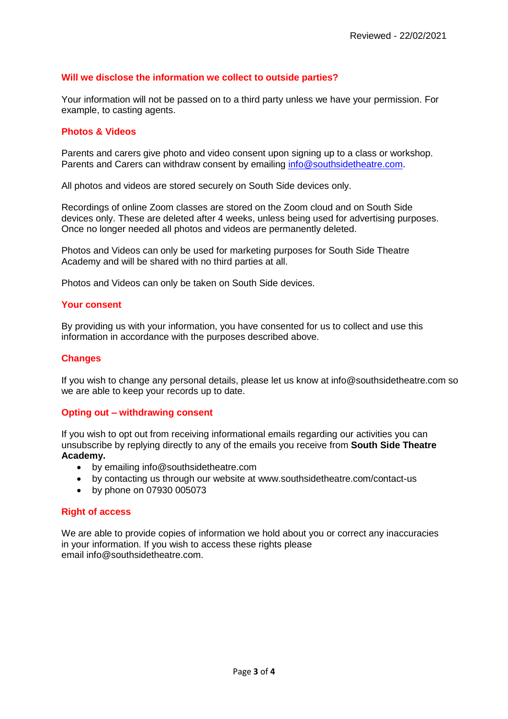# **Will we disclose the information we collect to outside parties?**

Your information will not be passed on to a third party unless we have your permission. For example, to casting agents.

### **Photos & Videos**

Parents and carers give photo and video consent upon signing up to a class or workshop. Parents and Carers can withdraw consent by emailing [info@southsidetheatre.com.](mailto:info@southsidetheatre.com)

All photos and videos are stored securely on South Side devices only.

Recordings of online Zoom classes are stored on the Zoom cloud and on South Side devices only. These are deleted after 4 weeks, unless being used for advertising purposes. Once no longer needed all photos and videos are permanently deleted.

Photos and Videos can only be used for marketing purposes for South Side Theatre Academy and will be shared with no third parties at all.

Photos and Videos can only be taken on South Side devices.

#### **Your consent**

By providing us with your information, you have consented for us to collect and use this information in accordance with the purposes described above.

# **Changes**

If you wish to change any personal details, please let us know at info@southsidetheatre.com so we are able to keep your records up to date.

# **Opting out – withdrawing consent**

If you wish to opt out from receiving informational emails regarding our activities you can unsubscribe by replying directly to any of the emails you receive from **South Side Theatre Academy.**

- by emailing info@southsidetheatre.com
- by contacting us through our website at www.southsidetheatre.com/contact-us
- by phone on 07930 005073

# **Right of access**

We are able to provide copies of information we hold about you or correct any inaccuracies in your information. If you wish to access these rights please email info@southsidetheatre.com.